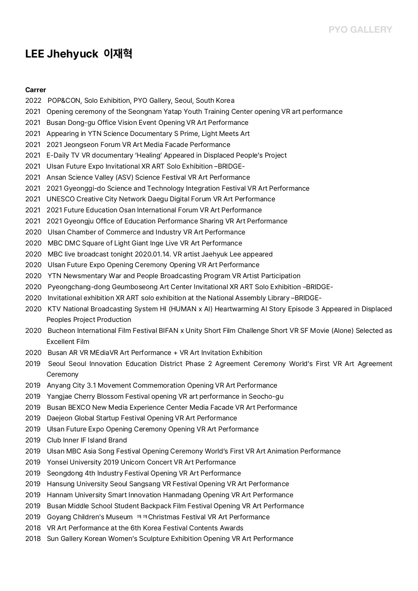## **LEE Jhehyuck 이재혁**

## **Carrer**

- 2022 POP&CON, Solo Exhibition, PYO Gallery, Seoul, South Korea
- 2021 Opening ceremony of the Seongnam Yatap Youth Training Center opening VR art performance
- 2021 Busan Dong-gu Office Vision Event Opening VR Art Performance
- 2021 Appearing in YTN Science Documentary S Prime, Light Meets Art
- 2021 2021 Jeongseon Forum VR Art Media Facade Performance
- 2021 E-Daily TV VR documentary 'Healing' Appeared in Displaced People's Project
- 2021 Ulsan Future Expo Invitational XR ART Solo Exhibition –BRIDGE-
- 2021 Ansan Science Valley (ASV) Science Festival VR Art Performance
- 2021 2021 Gyeonggi-do Science and Technology Integration Festival VR Art Performance
- 2021 UNESCO Creative City Network Daegu Digital Forum VR Art Performance
- 2021 2021 Future Education Osan International Forum VR Art Performance
- 2021 2021 Gyeongju Office of Education Performance Sharing VR Art Performance
- 2020 Ulsan Chamber of Commerce and Industry VR Art Performance
- 2020 MBC DMC Square of Light Giant Inge Live VR Art Performance
- 2020 MBC live broadcast tonight 2020.01.14. VR artist Jaehyuk Lee appeared
- 2020 Ulsan Future Expo Opening Ceremony Opening VR Art Performance
- 2020 YTN Newsmentary War and People Broadcasting Program VR Artist Participation
- 2020 Pyeongchang-dong Geumboseong Art Center Invitational XR ART Solo Exhibition –BRIDGE-
- 2020 Invitational exhibition XR ART solo exhibition at the National Assembly Library –BRIDGE-
- 2020 KTV National Broadcasting System HI (HUMAN x AI) Heartwarming AI Story Episode 3 Appeared in Displaced Peoples Project Production
- 2020 Bucheon International Film Festival BIFAN x Unity Short Film Challenge Short VR SF Movie (Alone) Selected as<br>Excellent Film
- 2020 Busan AR VR MEdiaVR Art Performance + VR Art Invitation Exhibition
- 2019 Seoul Seoul Innovation Education District Phase 2 Agreement Ceremony World's First VR Art Agreement Ceremony
- 2019 Anyang City 3.1 Movement Commemoration Opening VR Art Performance
- 2019 Yangjae Cherry Blossom Festival opening VR art performance in Seocho-gu
- 2019 Busan BEXCO New Media Experience Center Media Facade VR Art Performance
- 2019 Daejeon Global Startup Festival Opening VR Art Performance
- 2019 Ulsan Future Expo Opening Ceremony Opening VR Art Performance
- 2019 Club Inner IF Island Brand
- 2019 Ulsan MBC Asia Song Festival Opening Ceremony World's First VR Art Animation Performance
- 2019 Yonsei University 2019 Unicorn Concert VR Art Performance
- 2019 Seongdong 4th Industry Festival Opening VR Art Performance
- 2019 Hansung University Seoul Sangsang VR Festival Opening VR Art Performance
- 2019 Hannam University Smart Innovation Hanmadang Opening VR Art Performance
- 2019 Busan Middle School Student Backpack Film Festival Opening VR Art Performance<br>2019 Goyang Children's Museum ㅋㅋChristmas Festival VR Art Performance
- 
- 2018 VR Art Performance at the 6th Korea Festival Contents Awards
- 2018 Sun Gallery Korean Women's Sculpture Exhibition Opening VR Art Performance